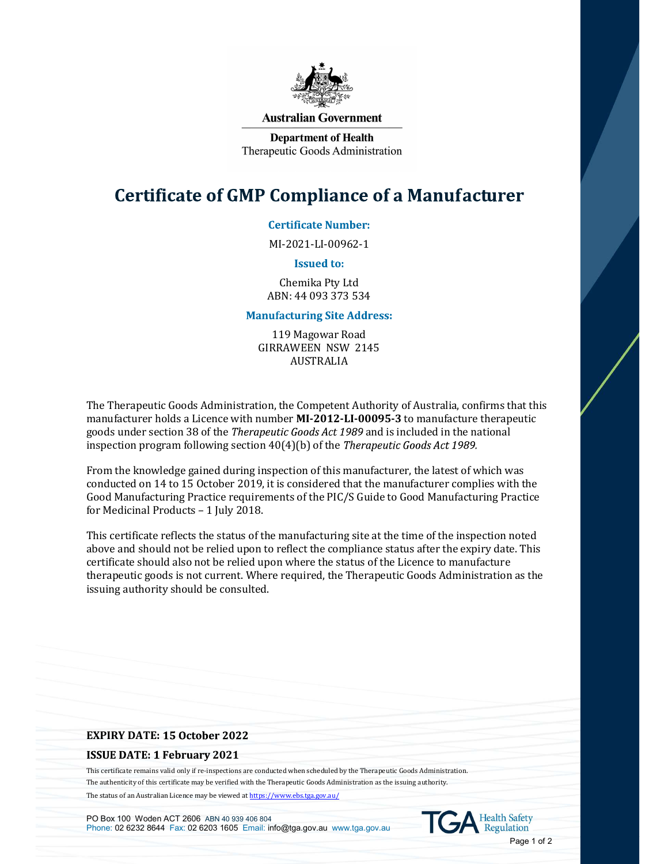

### **Australian Government**

**Department of Health** Therapeutic Goods Administration

# **Certificate of GMP Compliance of a Manufacturer**

# **Certificate Number:**

MI-2021-LI-00962-1

### **Issued to:**

Chemika Pty Ltd ABN: 44 093 373 534

# **Manufacturing Site Address:**

119 Magowar Road GIRRAWEEN NSW 2145 AUSTRALIA

The Therapeutic Goods Administration, the Competent Authority of Australia, confirms that this manufacturer holds a Licence with number MI-2012-LI-00095-3 to manufacture therapeutic goods under section 38 of the *Therapeutic Goods Act 1989* and is included in the national inspection program following section  $40(4)(b)$  of the *Therapeutic Goods Act 1989.* 

From the knowledge gained during inspection of this manufacturer, the latest of which was conducted on 14 to 15 October 2019, it is considered that the manufacturer complies with the Good Manufacturing Practice requirements of the PIC/S Guide to Good Manufacturing Practice for Medicinal Products – 1 July 2018.

This certificate reflects the status of the manufacturing site at the time of the inspection noted above and should not be relied upon to reflect the compliance status after the expiry date. This certificate should also not be relied upon where the status of the Licence to manufacture therapeutic goods is not current. Where required, the Therapeutic Goods Administration as the issuing authority should be consulted. From the knowledge gained during inspection of this manufacturer, the latest of wh<br>conducted on 14 to 15 October 2019, it is considered that the manufacturer compli<br>Good Manufacturing Practice requirements of the PIC/S Gui

### **ISSUE DATE: 1 February 2021**

This certificate remains valid only if re-inspections are conducted when scheduled by the Therapeutic Goods Administration. The authenticity of this certificate may be verified with the Therapeutic Goods Administration as the issuing authority. The status of an Australian Licence may be viewed at https://www.ebs.tga.gov.au/

PO Box 100 Woden ACT 2606 ABN 40 939 406 804 PO Box 100 Woden ACT 2606 ABN 40 939 406 804<br>Phone: 02 6232 8644 Fax: 02 6203 1605 Email: info@tga.gov.au www.tga.gov.au COA Regulation